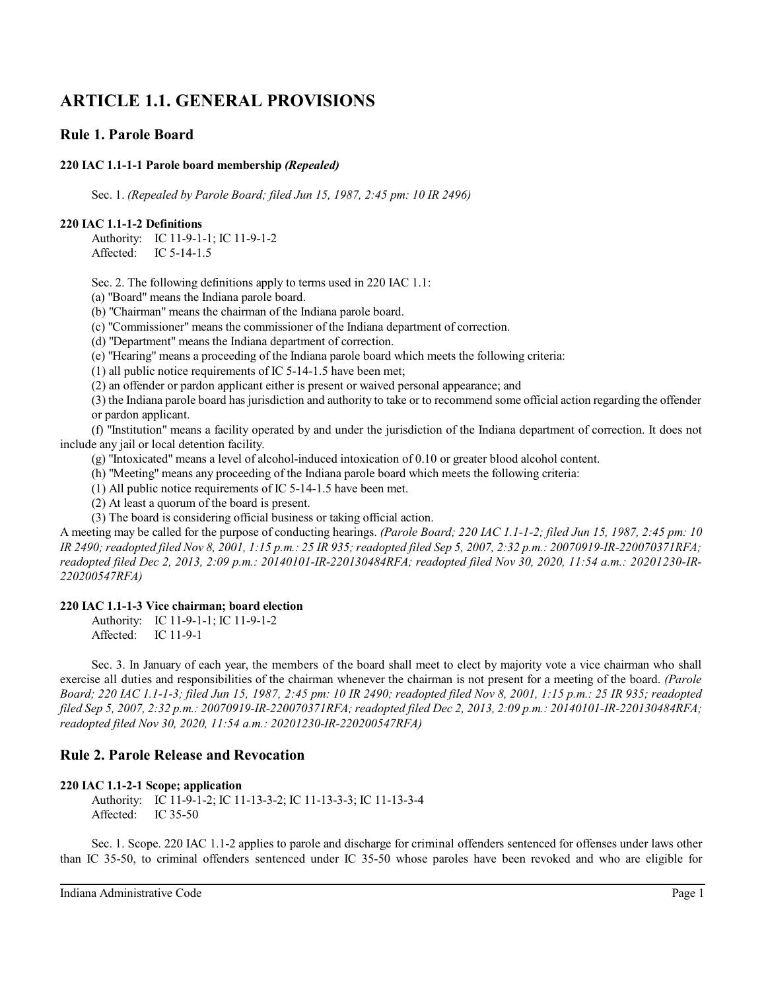# **ARTICLE 1.1. GENERAL PROVISIONS**

## **Rule 1. Parole Board**

## **220 IAC 1.1-1-1 Parole board membership** *(Repealed)*

Sec. 1. *(Repealed by Parole Board; filed Jun 15, 1987, 2:45 pm: 10 IR 2496)*

## **220 IAC 1.1-1-2 Definitions**

Authority: IC 11-9-1-1; IC 11-9-1-2 Affected: IC 5-14-1.5

Sec. 2. The following definitions apply to terms used in 220 IAC 1.1:

(a) "Board" means the Indiana parole board.

(b) "Chairman" means the chairman of the Indiana parole board.

(c) "Commissioner" means the commissioner of the Indiana department of correction.

(d) "Department" means the Indiana department of correction.

(e) "Hearing" means a proceeding of the Indiana parole board which meets the following criteria:

(1) all public notice requirements of IC 5-14-1.5 have been met;

(2) an offender or pardon applicant either is present or waived personal appearance; and

(3) the Indiana parole board has jurisdiction and authority to take or to recommend some official action regarding the offender or pardon applicant.

(f) "Institution" means a facility operated by and under the jurisdiction of the Indiana department of correction. It does not include any jail or local detention facility.

(g) "Intoxicated" means a level of alcohol-induced intoxication of 0.10 or greater blood alcohol content.

(h) "Meeting" means any proceeding of the Indiana parole board which meets the following criteria:

(1) All public notice requirements of IC 5-14-1.5 have been met.

(2) At least a quorum of the board is present.

(3) The board is considering official business or taking official action.

A meeting may be called for the purpose of conducting hearings. *(Parole Board; 220 IAC 1.1-1-2; filed Jun 15, 1987, 2:45 pm: 10 IR 2490; readopted filed Nov 8, 2001, 1:15 p.m.: 25 IR 935; readopted filed Sep 5, 2007, 2:32 p.m.: 20070919-IR-220070371RFA; readopted filed Dec 2, 2013, 2:09 p.m.: 20140101-IR-220130484RFA; readopted filed Nov 30, 2020, 11:54 a.m.: 20201230-IR-220200547RFA)*

### **220 IAC 1.1-1-3 Vice chairman; board election**

Authority: IC 11-9-1-1; IC 11-9-1-2 Affected: IC 11-9-1

Sec. 3. In January of each year, the members of the board shall meet to elect by majority vote a vice chairman who shall exercise all duties and responsibilities of the chairman whenever the chairman is not present for a meeting of the board. *(Parole Board; 220 IAC 1.1-1-3; filed Jun 15, 1987, 2:45 pm: 10 IR 2490; readopted filed Nov 8, 2001, 1:15 p.m.: 25 IR 935; readopted filed Sep 5, 2007, 2:32 p.m.: 20070919-IR-220070371RFA; readopted filed Dec 2, 2013, 2:09 p.m.: 20140101-IR-220130484RFA; readopted filed Nov 30, 2020, 11:54 a.m.: 20201230-IR-220200547RFA)*

## **Rule 2. Parole Release and Revocation**

### **220 IAC 1.1-2-1 Scope; application**

Authority: IC 11-9-1-2; IC 11-13-3-2; IC 11-13-3-3; IC 11-13-3-4 Affected: IC 35-50

Sec. 1. Scope. 220 IAC 1.1-2 applies to parole and discharge for criminal offenders sentenced for offenses under laws other than IC 35-50, to criminal offenders sentenced under IC 35-50 whose paroles have been revoked and who are eligible for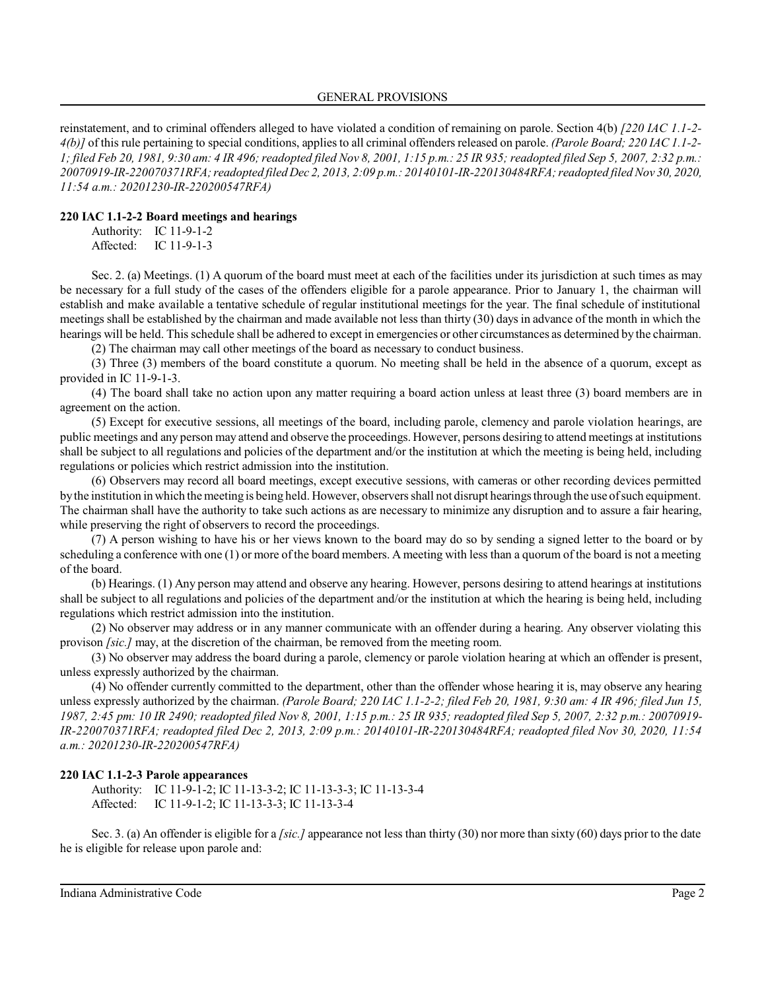#### GENERAL PROVISIONS

reinstatement, and to criminal offenders alleged to have violated a condition of remaining on parole. Section 4(b) *[220 IAC 1.1-2- 4(b)]* of this rule pertaining to special conditions, appliesto all criminal offenders released on parole. *(Parole Board; 220 IAC 1.1-2- 1; filed Feb 20, 1981, 9:30 am: 4 IR 496;readopted filed Nov 8, 2001, 1:15 p.m.: 25 IR 935; readopted filed Sep 5, 2007, 2:32 p.m.: 20070919-IR-220070371RFA;readopted filed Dec 2, 2013, 2:09 p.m.: 20140101-IR-220130484RFA;readopted filed Nov 30, 2020, 11:54 a.m.: 20201230-IR-220200547RFA)*

### **220 IAC 1.1-2-2 Board meetings and hearings**

Authority: IC 11-9-1-2 Affected: IC 11-9-1-3

Sec. 2. (a) Meetings. (1) A quorum of the board must meet at each of the facilities under its jurisdiction at such times as may be necessary for a full study of the cases of the offenders eligible for a parole appearance. Prior to January 1, the chairman will establish and make available a tentative schedule of regular institutional meetings for the year. The final schedule of institutional meetings shall be established by the chairman and made available not less than thirty (30) days in advance of the month in which the hearings will be held. This schedule shall be adhered to except in emergencies or other circumstances as determined by the chairman.

(2) The chairman may call other meetings of the board as necessary to conduct business.

(3) Three (3) members of the board constitute a quorum. No meeting shall be held in the absence of a quorum, except as provided in IC 11-9-1-3.

(4) The board shall take no action upon any matter requiring a board action unless at least three (3) board members are in agreement on the action.

(5) Except for executive sessions, all meetings of the board, including parole, clemency and parole violation hearings, are public meetings and any person may attend and observe the proceedings. However, persons desiring to attend meetings at institutions shall be subject to all regulations and policies of the department and/or the institution at which the meeting is being held, including regulations or policies which restrict admission into the institution.

(6) Observers may record all board meetings, except executive sessions, with cameras or other recording devices permitted bythe institution in which the meeting is being held. However, observers shall not disrupt hearings through the use ofsuch equipment. The chairman shall have the authority to take such actions as are necessary to minimize any disruption and to assure a fair hearing, while preserving the right of observers to record the proceedings.

(7) A person wishing to have his or her views known to the board may do so by sending a signed letter to the board or by scheduling a conference with one (1) or more of the board members. A meeting with less than a quorum of the board is not a meeting of the board.

(b) Hearings. (1) Any person may attend and observe any hearing. However, persons desiring to attend hearings at institutions shall be subject to all regulations and policies of the department and/or the institution at which the hearing is being held, including regulations which restrict admission into the institution.

(2) No observer may address or in any manner communicate with an offender during a hearing. Any observer violating this provison *[sic.]* may, at the discretion of the chairman, be removed from the meeting room.

(3) No observer may address the board during a parole, clemency or parole violation hearing at which an offender is present, unless expressly authorized by the chairman.

(4) No offender currently committed to the department, other than the offender whose hearing it is, may observe any hearing unless expressly authorized by the chairman. *(Parole Board; 220 IAC 1.1-2-2; filed Feb 20, 1981, 9:30 am: 4 IR 496; filed Jun 15, 1987, 2:45 pm: 10 IR 2490; readopted filed Nov 8, 2001, 1:15 p.m.: 25 IR 935; readopted filed Sep 5, 2007, 2:32 p.m.: 20070919- IR-220070371RFA; readopted filed Dec 2, 2013, 2:09 p.m.: 20140101-IR-220130484RFA; readopted filed Nov 30, 2020, 11:54 a.m.: 20201230-IR-220200547RFA)*

### **220 IAC 1.1-2-3 Parole appearances**

Authority: IC 11-9-1-2; IC 11-13-3-2; IC 11-13-3-3; IC 11-13-3-4 Affected: IC 11-9-1-2; IC 11-13-3-3; IC 11-13-3-4

Sec. 3. (a) An offender is eligible for a *[sic.]* appearance not less than thirty (30) nor more than sixty (60) days prior to the date he is eligible for release upon parole and: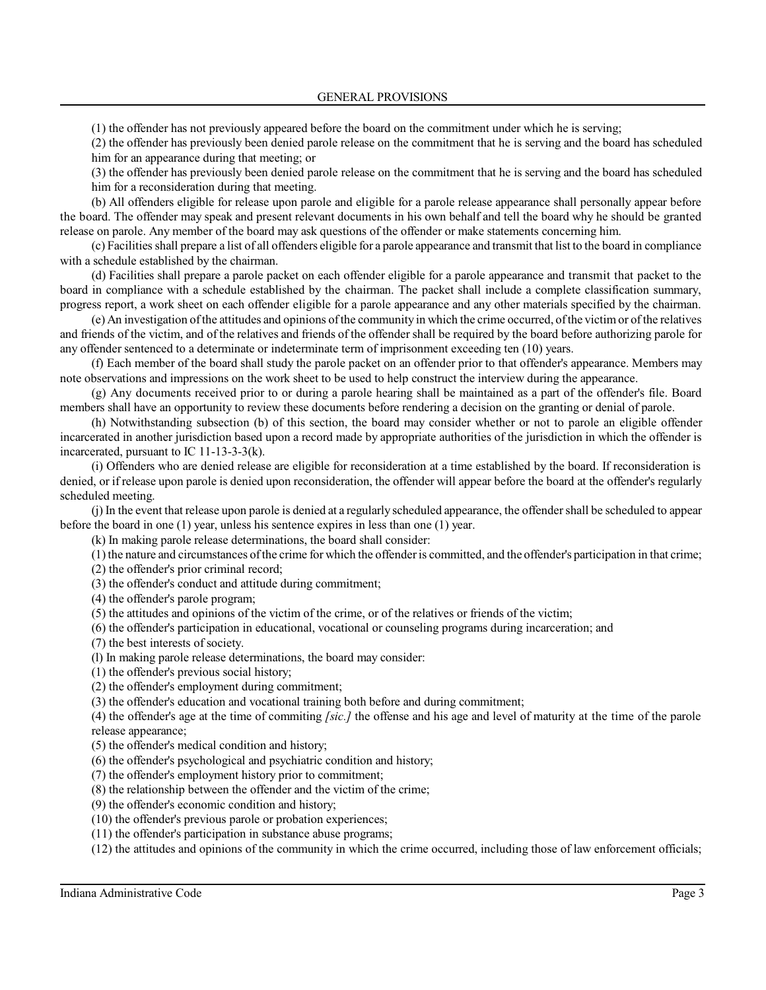(1) the offender has not previously appeared before the board on the commitment under which he is serving;

(2) the offender has previously been denied parole release on the commitment that he is serving and the board has scheduled him for an appearance during that meeting; or

(3) the offender has previously been denied parole release on the commitment that he is serving and the board has scheduled him for a reconsideration during that meeting.

(b) All offenders eligible for release upon parole and eligible for a parole release appearance shall personally appear before the board. The offender may speak and present relevant documents in his own behalf and tell the board why he should be granted release on parole. Any member of the board may ask questions of the offender or make statements concerning him.

(c) Facilities shall prepare a list of all offenders eligible for a parole appearance and transmit that list to the board in compliance with a schedule established by the chairman.

(d) Facilities shall prepare a parole packet on each offender eligible for a parole appearance and transmit that packet to the board in compliance with a schedule established by the chairman. The packet shall include a complete classification summary, progress report, a work sheet on each offender eligible for a parole appearance and any other materials specified by the chairman.

(e) An investigation ofthe attitudes and opinions ofthe community in which the crime occurred, ofthe victimor ofthe relatives and friends of the victim, and of the relatives and friends of the offender shall be required by the board before authorizing parole for any offender sentenced to a determinate or indeterminate term of imprisonment exceeding ten (10) years.

(f) Each member of the board shall study the parole packet on an offender prior to that offender's appearance. Members may note observations and impressions on the work sheet to be used to help construct the interview during the appearance.

(g) Any documents received prior to or during a parole hearing shall be maintained as a part of the offender's file. Board members shall have an opportunity to review these documents before rendering a decision on the granting or denial of parole.

(h) Notwithstanding subsection (b) of this section, the board may consider whether or not to parole an eligible offender incarcerated in another jurisdiction based upon a record made by appropriate authorities of the jurisdiction in which the offender is incarcerated, pursuant to IC 11-13-3-3(k).

(i) Offenders who are denied release are eligible for reconsideration at a time established by the board. If reconsideration is denied, or if release upon parole is denied upon reconsideration, the offender will appear before the board at the offender's regularly scheduled meeting.

(j) In the event that release upon parole is denied at a regularly scheduled appearance, the offendershall be scheduled to appear before the board in one (1) year, unless his sentence expires in less than one (1) year.

(k) In making parole release determinations, the board shall consider:

 $(1)$  the nature and circumstances of the crime for which the offender is committed, and the offender's participation in that crime;

(2) the offender's prior criminal record;

(3) the offender's conduct and attitude during commitment;

(4) the offender's parole program;

(5) the attitudes and opinions of the victim of the crime, or of the relatives or friends of the victim;

(6) the offender's participation in educational, vocational or counseling programs during incarceration; and

(7) the best interests of society.

(l) In making parole release determinations, the board may consider:

(1) the offender's previous social history;

(2) the offender's employment during commitment;

(3) the offender's education and vocational training both before and during commitment;

(4) the offender's age at the time of commiting *[sic.]* the offense and his age and level of maturity at the time of the parole release appearance;

(5) the offender's medical condition and history;

(6) the offender's psychological and psychiatric condition and history;

(7) the offender's employment history prior to commitment;

(8) the relationship between the offender and the victim of the crime;

(9) the offender's economic condition and history;

(10) the offender's previous parole or probation experiences;

(11) the offender's participation in substance abuse programs;

(12) the attitudes and opinions of the community in which the crime occurred, including those of law enforcement officials;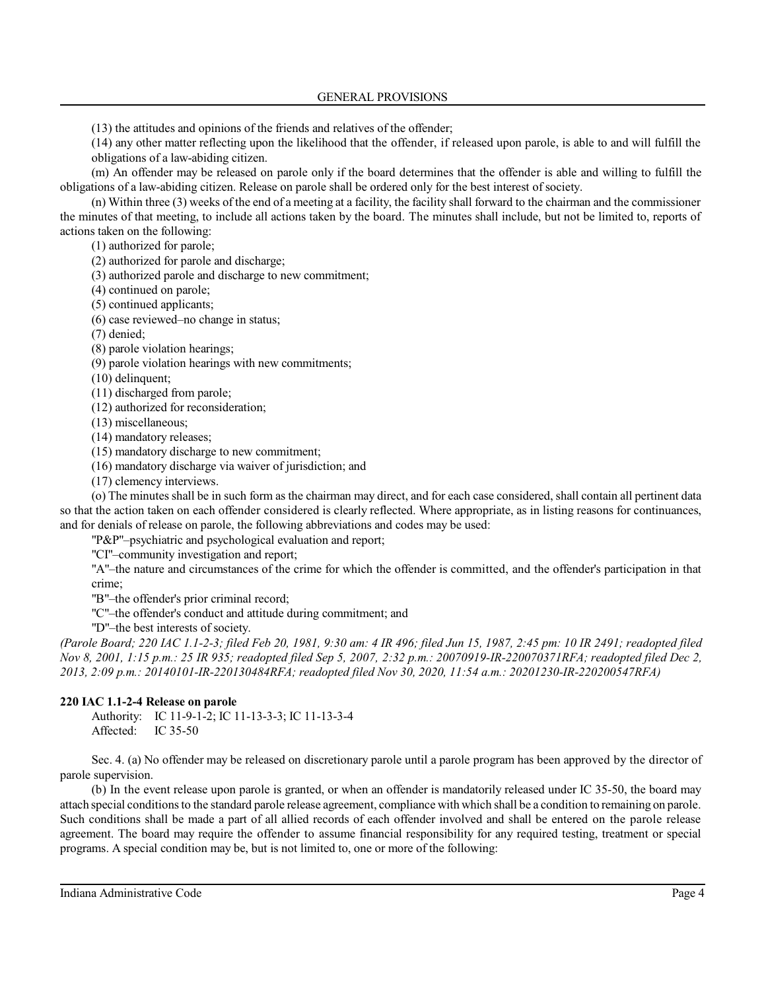(13) the attitudes and opinions of the friends and relatives of the offender;

(14) any other matter reflecting upon the likelihood that the offender, if released upon parole, is able to and will fulfill the obligations of a law-abiding citizen.

(m) An offender may be released on parole only if the board determines that the offender is able and willing to fulfill the obligations of a law-abiding citizen. Release on parole shall be ordered only for the best interest of society.

(n) Within three (3) weeks of the end of a meeting at a facility, the facility shall forward to the chairman and the commissioner the minutes of that meeting, to include all actions taken by the board. The minutes shall include, but not be limited to, reports of actions taken on the following:

(1) authorized for parole;

(2) authorized for parole and discharge;

(3) authorized parole and discharge to new commitment;

(4) continued on parole;

(5) continued applicants;

(6) case reviewed–no change in status;

(7) denied;

(8) parole violation hearings;

(9) parole violation hearings with new commitments;

(10) delinquent;

(11) discharged from parole;

(12) authorized for reconsideration;

(13) miscellaneous;

(14) mandatory releases;

(15) mandatory discharge to new commitment;

(16) mandatory discharge via waiver of jurisdiction; and

(17) clemency interviews.

(o) The minutesshall be in such form as the chairman may direct, and for each case considered, shall contain all pertinent data so that the action taken on each offender considered is clearly reflected. Where appropriate, as in listing reasons for continuances, and for denials of release on parole, the following abbreviations and codes may be used:

"P&P"–psychiatric and psychological evaluation and report;

"CI"–community investigation and report;

"A"–the nature and circumstances of the crime for which the offender is committed, and the offender's participation in that crime;

"B"–the offender's prior criminal record;

"C"–the offender's conduct and attitude during commitment; and

"D"–the best interests of society.

*(Parole Board; 220 IAC 1.1-2-3; filed Feb 20, 1981, 9:30 am: 4 IR 496; filed Jun 15, 1987, 2:45 pm: 10 IR 2491; readopted filed Nov 8, 2001, 1:15 p.m.: 25 IR 935; readopted filed Sep 5, 2007, 2:32 p.m.: 20070919-IR-220070371RFA; readopted filed Dec 2, 2013, 2:09 p.m.: 20140101-IR-220130484RFA; readopted filed Nov 30, 2020, 11:54 a.m.: 20201230-IR-220200547RFA)*

## **220 IAC 1.1-2-4 Release on parole**

Authority: IC 11-9-1-2; IC 11-13-3-3; IC 11-13-3-4 Affected: IC 35-50

Sec. 4. (a) No offender may be released on discretionary parole until a parole program has been approved by the director of parole supervision.

(b) In the event release upon parole is granted, or when an offender is mandatorily released under IC 35-50, the board may attach special conditionsto the standard parole release agreement, compliance with which shall be a condition to remaining on parole. Such conditions shall be made a part of all allied records of each offender involved and shall be entered on the parole release agreement. The board may require the offender to assume financial responsibility for any required testing, treatment or special programs. A special condition may be, but is not limited to, one or more of the following: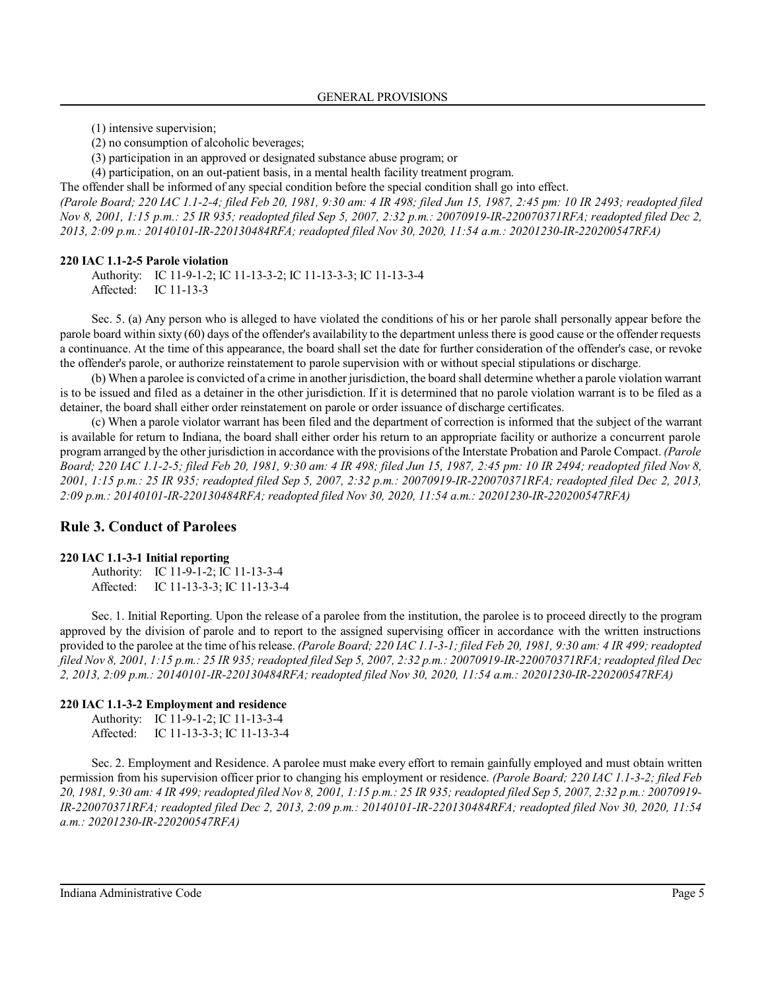(1) intensive supervision;

(2) no consumption of alcoholic beverages;

(3) participation in an approved or designated substance abuse program; or

(4) participation, on an out-patient basis, in a mental health facility treatment program.

The offender shall be informed of any special condition before the special condition shall go into effect. *(Parole Board; 220 IAC 1.1-2-4; filed Feb 20, 1981, 9:30 am: 4 IR 498; filed Jun 15, 1987, 2:45 pm: 10 IR 2493; readopted filed Nov 8, 2001, 1:15 p.m.: 25 IR 935; readopted filed Sep 5, 2007, 2:32 p.m.: 20070919-IR-220070371RFA; readopted filed Dec 2, 2013, 2:09 p.m.: 20140101-IR-220130484RFA; readopted filed Nov 30, 2020, 11:54 a.m.: 20201230-IR-220200547RFA)*

### **220 IAC 1.1-2-5 Parole violation**

Authority: IC 11-9-1-2; IC 11-13-3-2; IC 11-13-3-3; IC 11-13-3-4 Affected: IC 11-13-3

Sec. 5. (a) Any person who is alleged to have violated the conditions of his or her parole shall personally appear before the parole board within sixty (60) days of the offender's availability to the department unless there is good cause or the offender requests a continuance. At the time of this appearance, the board shall set the date for further consideration of the offender's case, or revoke the offender's parole, or authorize reinstatement to parole supervision with or without special stipulations or discharge.

(b) When a parolee is convicted of a crime in anotherjurisdiction, the board shall determine whether a parole violation warrant is to be issued and filed as a detainer in the other jurisdiction. If it is determined that no parole violation warrant is to be filed as a detainer, the board shall either order reinstatement on parole or order issuance of discharge certificates.

(c) When a parole violator warrant has been filed and the department of correction is informed that the subject of the warrant is available for return to Indiana, the board shall either order his return to an appropriate facility or authorize a concurrent parole program arranged by the other jurisdiction in accordance with the provisions ofthe Interstate Probation and Parole Compact. *(Parole Board; 220 IAC 1.1-2-5; filed Feb 20, 1981, 9:30 am: 4 IR 498; filed Jun 15, 1987, 2:45 pm: 10 IR 2494; readopted filed Nov 8, 2001, 1:15 p.m.: 25 IR 935; readopted filed Sep 5, 2007, 2:32 p.m.: 20070919-IR-220070371RFA; readopted filed Dec 2, 2013, 2:09 p.m.: 20140101-IR-220130484RFA; readopted filed Nov 30, 2020, 11:54 a.m.: 20201230-IR-220200547RFA)*

## **Rule 3. Conduct of Parolees**

#### **220 IAC 1.1-3-1 Initial reporting**

Authority: IC 11-9-1-2; IC 11-13-3-4 Affected: IC 11-13-3-3; IC 11-13-3-4

Sec. 1. Initial Reporting. Upon the release of a parolee from the institution, the parolee is to proceed directly to the program approved by the division of parole and to report to the assigned supervising officer in accordance with the written instructions provided to the parolee at the time of hisrelease. *(Parole Board; 220 IAC 1.1-3-1; filed Feb 20, 1981, 9:30 am: 4 IR 499; readopted filed Nov 8, 2001, 1:15 p.m.: 25 IR 935; readopted filed Sep 5, 2007, 2:32 p.m.: 20070919-IR-220070371RFA; readopted filed Dec 2, 2013, 2:09 p.m.: 20140101-IR-220130484RFA; readopted filed Nov 30, 2020, 11:54 a.m.: 20201230-IR-220200547RFA)*

### **220 IAC 1.1-3-2 Employment and residence**

Authority: IC 11-9-1-2; IC 11-13-3-4 Affected: IC 11-13-3-3; IC 11-13-3-4

Sec. 2. Employment and Residence. A parolee must make every effort to remain gainfully employed and must obtain written permission from his supervision officer prior to changing his employment or residence. *(Parole Board; 220 IAC 1.1-3-2; filed Feb 20, 1981, 9:30 am: 4 IR 499; readopted filed Nov 8, 2001, 1:15 p.m.: 25 IR 935; readopted filed Sep 5, 2007, 2:32 p.m.: 20070919- IR-220070371RFA; readopted filed Dec 2, 2013, 2:09 p.m.: 20140101-IR-220130484RFA; readopted filed Nov 30, 2020, 11:54 a.m.: 20201230-IR-220200547RFA)*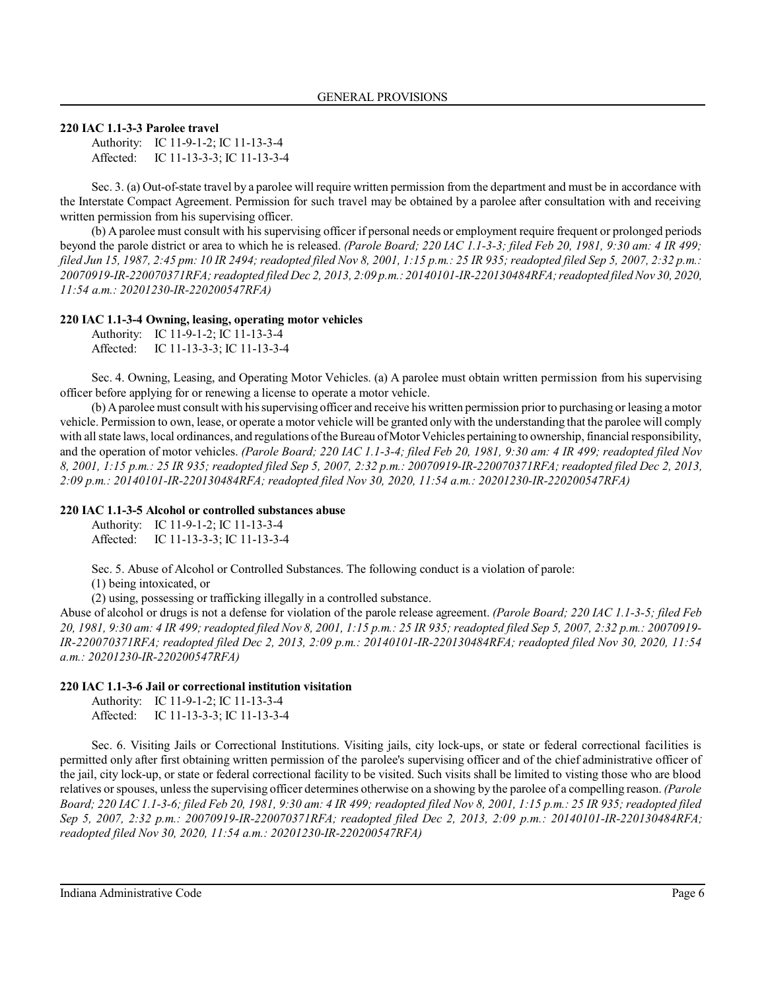## **220 IAC 1.1-3-3 Parolee travel**

Authority: IC 11-9-1-2; IC 11-13-3-4 Affected: IC 11-13-3-3; IC 11-13-3-4

Sec. 3. (a) Out-of-state travel by a parolee will require written permission from the department and must be in accordance with the Interstate Compact Agreement. Permission for such travel may be obtained by a parolee after consultation with and receiving written permission from his supervising officer.

(b) A parolee must consult with his supervising officer if personal needs or employment require frequent or prolonged periods beyond the parole district or area to which he is released. *(Parole Board; 220 IAC 1.1-3-3; filed Feb 20, 1981, 9:30 am: 4 IR 499; filed Jun 15, 1987, 2:45 pm: 10 IR 2494; readopted filed Nov 8, 2001, 1:15 p.m.: 25 IR 935; readopted filed Sep 5, 2007, 2:32 p.m.: 20070919-IR-220070371RFA;readopted filed Dec 2, 2013, 2:09 p.m.: 20140101-IR-220130484RFA;readopted filed Nov 30, 2020, 11:54 a.m.: 20201230-IR-220200547RFA)*

## **220 IAC 1.1-3-4 Owning, leasing, operating motor vehicles**

|           | Authority: IC 11-9-1-2; IC 11-13-3-4 |
|-----------|--------------------------------------|
| Affected: | IC 11-13-3-3; IC 11-13-3-4           |

Sec. 4. Owning, Leasing, and Operating Motor Vehicles. (a) A parolee must obtain written permission from his supervising officer before applying for or renewing a license to operate a motor vehicle.

(b) Aparolee must consult with hissupervising officer and receive his written permission priorto purchasing or leasing a motor vehicle. Permission to own, lease, or operate a motor vehicle will be granted onlywith the understanding that the parolee will comply with all state laws, local ordinances, and regulations of the Bureau of Motor Vehicles pertaining to ownership, financial responsibility, and the operation of motor vehicles. *(Parole Board; 220 IAC 1.1-3-4; filed Feb 20, 1981, 9:30 am: 4 IR 499; readopted filed Nov 8, 2001, 1:15 p.m.: 25 IR 935; readopted filed Sep 5, 2007, 2:32 p.m.: 20070919-IR-220070371RFA; readopted filed Dec 2, 2013, 2:09 p.m.: 20140101-IR-220130484RFA; readopted filed Nov 30, 2020, 11:54 a.m.: 20201230-IR-220200547RFA)*

### **220 IAC 1.1-3-5 Alcohol or controlled substances abuse**

Authority: IC 11-9-1-2; IC 11-13-3-4 Affected: IC 11-13-3-3; IC 11-13-3-4

Sec. 5. Abuse of Alcohol or Controlled Substances. The following conduct is a violation of parole:

(1) being intoxicated, or

(2) using, possessing or trafficking illegally in a controlled substance.

Abuse of alcohol or drugs is not a defense for violation of the parole release agreement. *(Parole Board; 220 IAC 1.1-3-5; filed Feb 20, 1981, 9:30 am: 4 IR 499; readopted filed Nov 8, 2001, 1:15 p.m.: 25 IR 935; readopted filed Sep 5, 2007, 2:32 p.m.: 20070919- IR-220070371RFA; readopted filed Dec 2, 2013, 2:09 p.m.: 20140101-IR-220130484RFA; readopted filed Nov 30, 2020, 11:54 a.m.: 20201230-IR-220200547RFA)*

## **220 IAC 1.1-3-6 Jail or correctional institution visitation**

Authority: IC 11-9-1-2; IC 11-13-3-4 Affected: IC 11-13-3-3; IC 11-13-3-4

Sec. 6. Visiting Jails or Correctional Institutions. Visiting jails, city lock-ups, or state or federal correctional facilities is permitted only after first obtaining written permission of the parolee's supervising officer and of the chief administrative officer of the jail, city lock-up, or state or federal correctional facility to be visited. Such visits shall be limited to visting those who are blood relatives orspouses, unless the supervising officer determines otherwise on a showing by the parolee of a compelling reason. *(Parole Board; 220 IAC 1.1-3-6; filed Feb 20, 1981, 9:30 am: 4 IR 499; readopted filed Nov 8, 2001, 1:15 p.m.: 25 IR 935; readopted filed Sep 5, 2007, 2:32 p.m.: 20070919-IR-220070371RFA; readopted filed Dec 2, 2013, 2:09 p.m.: 20140101-IR-220130484RFA; readopted filed Nov 30, 2020, 11:54 a.m.: 20201230-IR-220200547RFA)*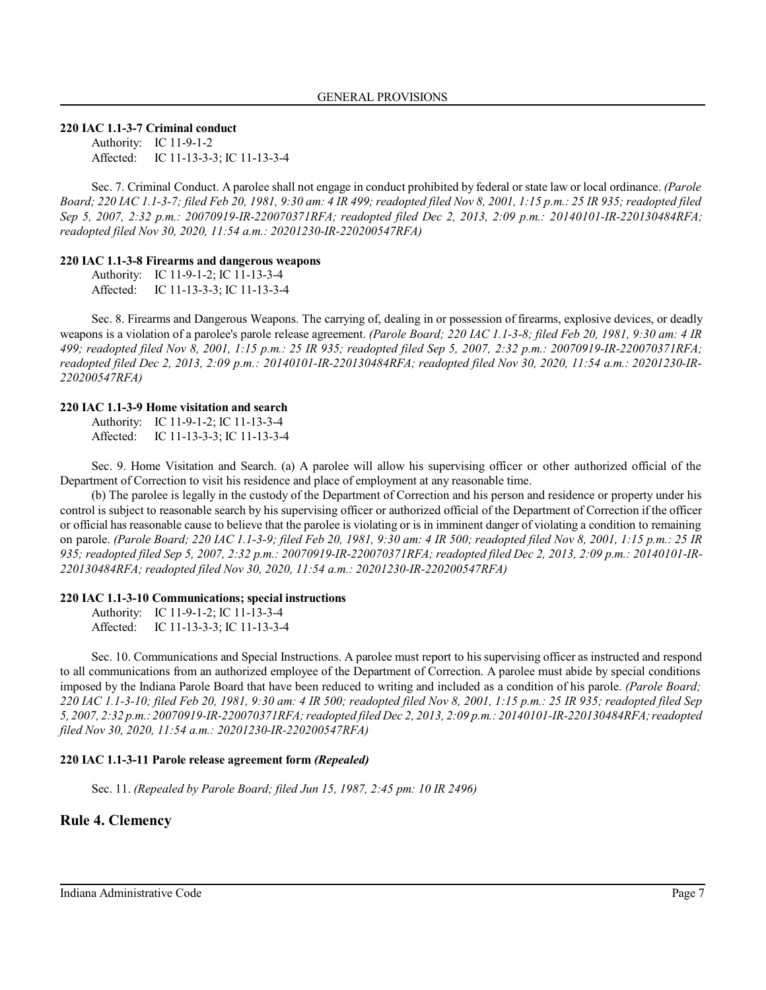#### **220 IAC 1.1-3-7 Criminal conduct**

Authority: IC 11-9-1-2 Affected: IC 11-13-3-3; IC 11-13-3-4

Sec. 7. Criminal Conduct. A parolee shall not engage in conduct prohibited by federal or state law or local ordinance. *(Parole Board; 220 IAC 1.1-3-7; filed Feb 20, 1981, 9:30 am: 4 IR 499; readopted filed Nov 8, 2001, 1:15 p.m.: 25 IR 935; readopted filed Sep 5, 2007, 2:32 p.m.: 20070919-IR-220070371RFA; readopted filed Dec 2, 2013, 2:09 p.m.: 20140101-IR-220130484RFA; readopted filed Nov 30, 2020, 11:54 a.m.: 20201230-IR-220200547RFA)*

#### **220 IAC 1.1-3-8 Firearms and dangerous weapons**

Authority: IC 11-9-1-2; IC 11-13-3-4 Affected: IC 11-13-3-3; IC 11-13-3-4

Sec. 8. Firearms and Dangerous Weapons. The carrying of, dealing in or possession of firearms, explosive devices, or deadly weapons is a violation of a parolee's parole release agreement. *(Parole Board; 220 IAC 1.1-3-8; filed Feb 20, 1981, 9:30 am: 4 IR 499; readopted filed Nov 8, 2001, 1:15 p.m.: 25 IR 935; readopted filed Sep 5, 2007, 2:32 p.m.: 20070919-IR-220070371RFA; readopted filed Dec 2, 2013, 2:09 p.m.: 20140101-IR-220130484RFA; readopted filed Nov 30, 2020, 11:54 a.m.: 20201230-IR-220200547RFA)*

## **220 IAC 1.1-3-9 Home visitation and search**

Authority: IC 11-9-1-2; IC 11-13-3-4 Affected: IC 11-13-3-3; IC 11-13-3-4

Sec. 9. Home Visitation and Search. (a) A parolee will allow his supervising officer or other authorized official of the Department of Correction to visit his residence and place of employment at any reasonable time.

(b) The parolee is legally in the custody of the Department of Correction and his person and residence or property under his control is subject to reasonable search by his supervising officer or authorized official of the Department of Correction if the officer or official has reasonable cause to believe that the parolee is violating or is in imminent danger of violating a condition to remaining on parole. *(Parole Board; 220 IAC 1.1-3-9; filed Feb 20, 1981, 9:30 am: 4 IR 500; readopted filed Nov 8, 2001, 1:15 p.m.: 25 IR 935; readopted filed Sep 5, 2007, 2:32 p.m.: 20070919-IR-220070371RFA; readopted filed Dec 2, 2013, 2:09 p.m.: 20140101-IR-220130484RFA; readopted filed Nov 30, 2020, 11:54 a.m.: 20201230-IR-220200547RFA)*

#### **220 IAC 1.1-3-10 Communications; special instructions**

Authority: IC 11-9-1-2; IC 11-13-3-4 Affected: IC 11-13-3-3; IC 11-13-3-4

Sec. 10. Communications and Special Instructions. A parolee must report to his supervising officer as instructed and respond to all communications from an authorized employee of the Department of Correction. A parolee must abide by special conditions imposed by the Indiana Parole Board that have been reduced to writing and included as a condition of his parole. *(Parole Board; 220 IAC 1.1-3-10; filed Feb 20, 1981, 9:30 am: 4 IR 500; readopted filed Nov 8, 2001, 1:15 p.m.: 25 IR 935; readopted filed Sep 5, 2007, 2:32 p.m.: 20070919-IR-220070371RFA;readopted filed Dec 2, 2013, 2:09 p.m.: 20140101-IR-220130484RFA;readopted filed Nov 30, 2020, 11:54 a.m.: 20201230-IR-220200547RFA)*

#### **220 IAC 1.1-3-11 Parole release agreement form** *(Repealed)*

Sec. 11. *(Repealed by Parole Board; filed Jun 15, 1987, 2:45 pm: 10 IR 2496)*

## **Rule 4. Clemency**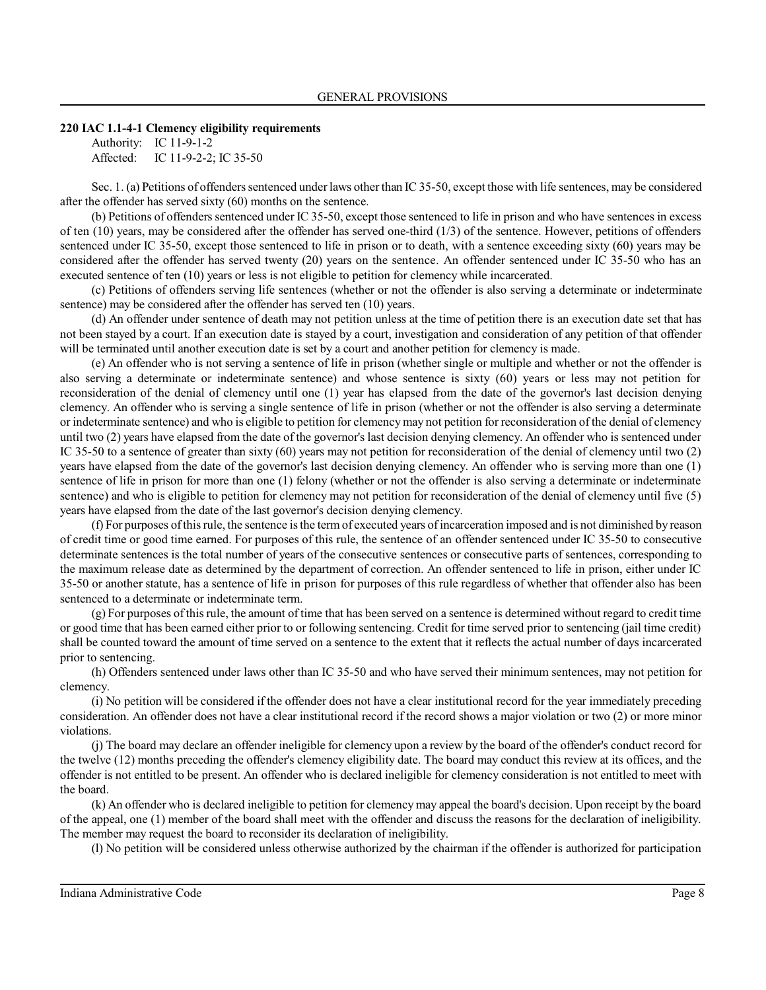#### **220 IAC 1.1-4-1 Clemency eligibility requirements**

Authority: IC 11-9-1-2 Affected: IC 11-9-2-2; IC 35-50

Sec. 1. (a) Petitions of offenders sentenced under laws other than IC 35-50, except those with life sentences, may be considered after the offender has served sixty (60) months on the sentence.

(b) Petitions of offenders sentenced under IC 35-50, except those sentenced to life in prison and who have sentences in excess of ten  $(10)$  years, may be considered after the offender has served one-third  $(1/3)$  of the sentence. However, petitions of offenders sentenced under IC 35-50, except those sentenced to life in prison or to death, with a sentence exceeding sixty (60) years may be considered after the offender has served twenty (20) years on the sentence. An offender sentenced under IC 35-50 who has an executed sentence of ten (10) years or less is not eligible to petition for clemency while incarcerated.

(c) Petitions of offenders serving life sentences (whether or not the offender is also serving a determinate or indeterminate sentence) may be considered after the offender has served ten (10) years.

(d) An offender under sentence of death may not petition unless at the time of petition there is an execution date set that has not been stayed by a court. If an execution date is stayed by a court, investigation and consideration of any petition of that offender will be terminated until another execution date is set by a court and another petition for clemency is made.

(e) An offender who is not serving a sentence of life in prison (whether single or multiple and whether or not the offender is also serving a determinate or indeterminate sentence) and whose sentence is sixty (60) years or less may not petition for reconsideration of the denial of clemency until one (1) year has elapsed from the date of the governor's last decision denying clemency. An offender who is serving a single sentence of life in prison (whether or not the offender is also serving a determinate or indeterminate sentence) and who is eligible to petition for clemencymay not petition for reconsideration of the denial of clemency until two (2) years have elapsed from the date of the governor's last decision denying clemency. An offender who is sentenced under IC 35-50 to a sentence of greater than sixty (60) years may not petition for reconsideration of the denial of clemency until two (2) years have elapsed from the date of the governor's last decision denying clemency. An offender who is serving more than one (1) sentence of life in prison for more than one (1) felony (whether or not the offender is also serving a determinate or indeterminate sentence) and who is eligible to petition for clemency may not petition for reconsideration of the denial of clemency until five (5) years have elapsed from the date of the last governor's decision denying clemency.

(f) For purposes ofthisrule, the sentence isthe term of executed years ofincarceration imposed and is not diminished by reason of credit time or good time earned. For purposes of this rule, the sentence of an offender sentenced under IC 35-50 to consecutive determinate sentences is the total number of years of the consecutive sentences or consecutive parts of sentences, corresponding to the maximum release date as determined by the department of correction. An offender sentenced to life in prison, either under IC 35-50 or another statute, has a sentence of life in prison for purposes of this rule regardless of whether that offender also has been sentenced to a determinate or indeterminate term.

(g) For purposes of thisrule, the amount of time that has been served on a sentence is determined without regard to credit time or good time that has been earned either prior to or following sentencing. Credit for time served prior to sentencing (jail time credit) shall be counted toward the amount of time served on a sentence to the extent that it reflects the actual number of days incarcerated prior to sentencing.

(h) Offenders sentenced under laws other than IC 35-50 and who have served their minimum sentences, may not petition for clemency.

(i) No petition will be considered if the offender does not have a clear institutional record for the year immediately preceding consideration. An offender does not have a clear institutional record if the record shows a major violation or two (2) or more minor violations.

(j) The board may declare an offender ineligible for clemency upon a review by the board of the offender's conduct record for the twelve (12) months preceding the offender's clemency eligibility date. The board may conduct this review at its offices, and the offender is not entitled to be present. An offender who is declared ineligible for clemency consideration is not entitled to meet with the board.

(k) An offender who is declared ineligible to petition for clemency may appeal the board's decision. Upon receipt by the board of the appeal, one (1) member of the board shall meet with the offender and discuss the reasons for the declaration of ineligibility. The member may request the board to reconsider its declaration of ineligibility.

(l) No petition will be considered unless otherwise authorized by the chairman if the offender is authorized for participation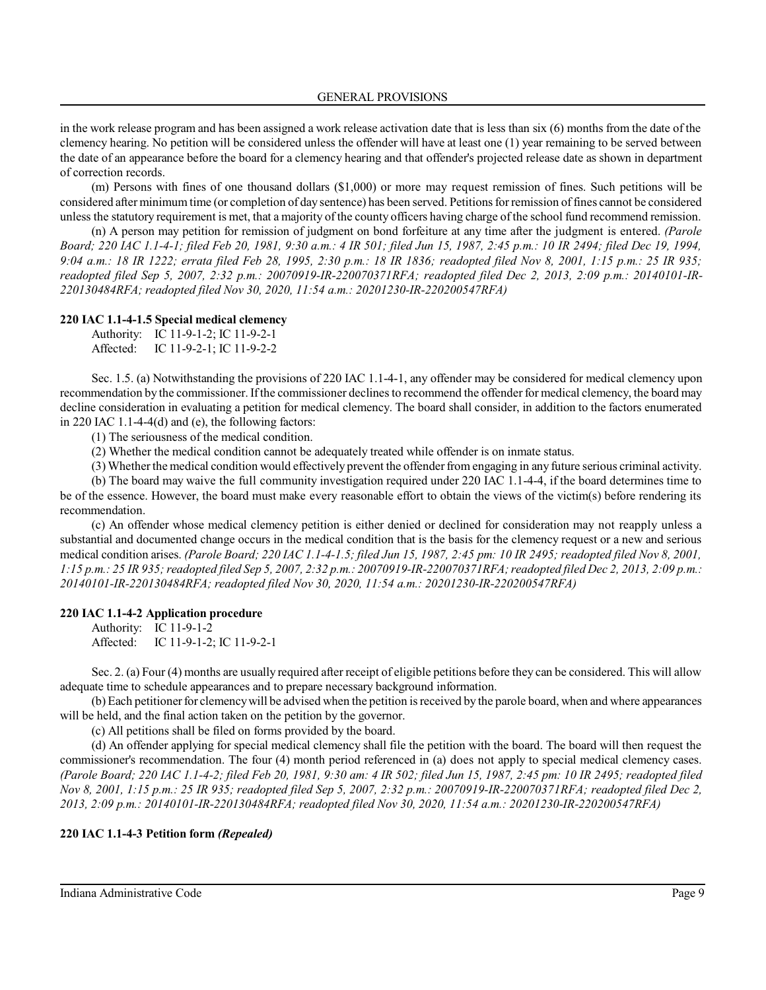in the work release program and has been assigned a work release activation date that is less than six (6) months from the date of the clemency hearing. No petition will be considered unless the offender will have at least one (1) year remaining to be served between the date of an appearance before the board for a clemency hearing and that offender's projected release date as shown in department of correction records.

(m) Persons with fines of one thousand dollars (\$1,000) or more may request remission of fines. Such petitions will be considered after minimum time (or completion of day sentence) has been served. Petitionsfor remission offines cannot be considered unless the statutory requirement is met, that a majority of the county officers having charge of the school fund recommend remission.

(n) A person may petition for remission of judgment on bond forfeiture at any time after the judgment is entered. *(Parole Board; 220 IAC 1.1-4-1; filed Feb 20, 1981, 9:30 a.m.: 4 IR 501; filed Jun 15, 1987, 2:45 p.m.: 10 IR 2494; filed Dec 19, 1994, 9:04 a.m.: 18 IR 1222; errata filed Feb 28, 1995, 2:30 p.m.: 18 IR 1836; readopted filed Nov 8, 2001, 1:15 p.m.: 25 IR 935; readopted filed Sep 5, 2007, 2:32 p.m.: 20070919-IR-220070371RFA; readopted filed Dec 2, 2013, 2:09 p.m.: 20140101-IR-220130484RFA; readopted filed Nov 30, 2020, 11:54 a.m.: 20201230-IR-220200547RFA)*

#### **220 IAC 1.1-4-1.5 Special medical clemency**

|           | Authority: IC 11-9-1-2; IC 11-9-2-1 |
|-----------|-------------------------------------|
| Affected: | IC 11-9-2-1; IC 11-9-2-2            |

Sec. 1.5. (a) Notwithstanding the provisions of 220 IAC 1.1-4-1, any offender may be considered for medical clemency upon recommendation by the commissioner. If the commissioner declines to recommend the offender for medical clemency, the board may decline consideration in evaluating a petition for medical clemency. The board shall consider, in addition to the factors enumerated in 220 IAC 1.1-4-4(d) and (e), the following factors:

(1) The seriousness of the medical condition.

(2) Whether the medical condition cannot be adequately treated while offender is on inmate status.

(3) Whether the medical condition would effectively prevent the offender from engaging in any future serious criminal activity.

(b) The board may waive the full community investigation required under 220 IAC 1.1-4-4, if the board determines time to be of the essence. However, the board must make every reasonable effort to obtain the views of the victim(s) before rendering its recommendation.

(c) An offender whose medical clemency petition is either denied or declined for consideration may not reapply unless a substantial and documented change occurs in the medical condition that is the basis for the clemency request or a new and serious medical condition arises. *(Parole Board; 220 IAC 1.1-4-1.5; filed Jun 15, 1987, 2:45 pm: 10 IR 2495; readopted filed Nov 8, 2001, 1:15 p.m.: 25 IR 935;readopted filed Sep 5, 2007, 2:32 p.m.: 20070919-IR-220070371RFA;readopted filed Dec 2, 2013, 2:09 p.m.: 20140101-IR-220130484RFA; readopted filed Nov 30, 2020, 11:54 a.m.: 20201230-IR-220200547RFA)*

#### **220 IAC 1.1-4-2 Application procedure**

Authority: IC 11-9-1-2 Affected: IC 11-9-1-2; IC 11-9-2-1

Sec. 2. (a) Four (4) months are usually required after receipt of eligible petitions before they can be considered. This will allow adequate time to schedule appearances and to prepare necessary background information.

(b) Each petitioner for clemency will be advised when the petition is received by the parole board, when and where appearances will be held, and the final action taken on the petition by the governor.

(c) All petitions shall be filed on forms provided by the board.

(d) An offender applying for special medical clemency shall file the petition with the board. The board will then request the commissioner's recommendation. The four (4) month period referenced in (a) does not apply to special medical clemency cases. *(Parole Board; 220 IAC 1.1-4-2; filed Feb 20, 1981, 9:30 am: 4 IR 502; filed Jun 15, 1987, 2:45 pm: 10 IR 2495; readopted filed Nov 8, 2001, 1:15 p.m.: 25 IR 935; readopted filed Sep 5, 2007, 2:32 p.m.: 20070919-IR-220070371RFA; readopted filed Dec 2, 2013, 2:09 p.m.: 20140101-IR-220130484RFA; readopted filed Nov 30, 2020, 11:54 a.m.: 20201230-IR-220200547RFA)*

#### **220 IAC 1.1-4-3 Petition form** *(Repealed)*